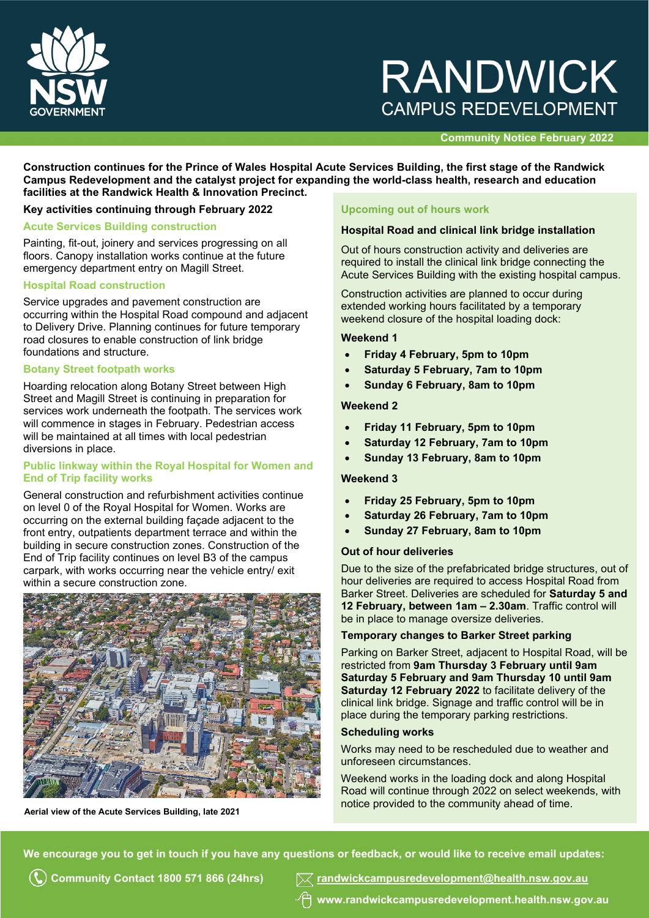

# **RANDWICK CAMPUS REDEVELOPMENT**

# **Community Notice February 2022**

**Construction continues for the Prince of Wales Hospital Acute Services Building, the first stage of the Randwick Campus Redevelopment and the catalyst project for expanding the world-class health, research and education facilities at the Randwick Health & Innovation Precinct.**

# **Key activities continuing through February 2022**

#### **Acute Services Building construction**

Painting, fit-out, joinery and services progressing on all floors. Canopy installation works continue at the future emergency department entry on Magill Street.

#### **Hospital Road construction**

Service upgrades and pavement construction are occurring within the Hospital Road compound and adjacent to Delivery Drive. Planning continues for future temporary road closures to enable construction of link bridge foundations and structure.

#### **Botany Street footpath works**

Hoarding relocation along Botany Street between High Street and Magill Street is continuing in preparation for services work underneath the footpath. The services work will commence in stages in February. Pedestrian access will be maintained at all times with local pedestrian diversions in place.

# **Public linkway within the Royal Hospital for Women and End of Trip facility works**

General construction and refurbishment activities continue on level 0 of the Royal Hospital for Women. Works are occurring on the external building façade adjacent to the front entry, outpatients department terrace and within the building in secure construction zones. Construction of the End of Trip facility continues on level B3 of the campus carpark, with works occurring near the vehicle entry/ exit within a secure construction zone.



# **Upcoming out of hours work**

#### **Hospital Road and clinical link bridge installation**

Out of hours construction activity and deliveries are required to install the clinical link bridge connecting the Acute Services Building with the existing hospital campus.

Construction activities are planned to occur during extended working hours facilitated by a temporary weekend closure of the hospital loading dock:

#### **Weekend 1**

- **Friday 4 February, 5pm to 10pm**
- **Saturday 5 February, 7am to 10pm**
- **Sunday 6 February, 8am to 10pm**

#### **Weekend 2**

- **Friday 11 February, 5pm to 10pm**
- **Saturday 12 February, 7am to 10pm**
- **Sunday 13 February, 8am to 10pm**

#### **Weekend 3**

- **Friday 25 February, 5pm to 10pm**
- **Saturday 26 February, 7am to 10pm**
- **Sunday 27 February, 8am to 10pm**

## **Out of hour deliveries**

Due to the size of the prefabricated bridge structures, out of hour deliveries are required to access Hospital Road from Barker Street. Deliveries are scheduled for **Saturday 5 and 12 February, between 1am – 2.30am**. Traffic control will be in place to manage oversize deliveries.

#### **Temporary changes to Barker Street parking**

Parking on Barker Street, adjacent to Hospital Road, will be restricted from **9am Thursday 3 February until 9am Saturday 5 February and 9am Thursday 10 until 9am Saturday 12 February 2022** to facilitate delivery of the clinical link bridge. Signage and traffic control will be in place during the temporary parking restrictions.

#### **Scheduling works**

Works may need to be rescheduled due to weather and unforeseen circumstances.

Weekend works in the loading dock and along Hospital Road will continue through 2022 on select weekends, with Aerial view of the Acute Services Building, late 2021 **Accord Contract Contract Conventues** Aerial view of the Acute Services Building, late 2021

**We encourage you to get in touch if you have any questions or feedback, or would like to receive email updates:**

**Community Contact 1800 571 866 (24hrs) [randwickcampusredevelopment@health.nsw.gov.au](mailto:randwickcampusredevelopment@health.nsw.gov.au)**

**www[.randwickcampusredevelopment.health.nsw.gov.au](http://www.randwickcampusredevelopment.health.nsw.gov.au/)**